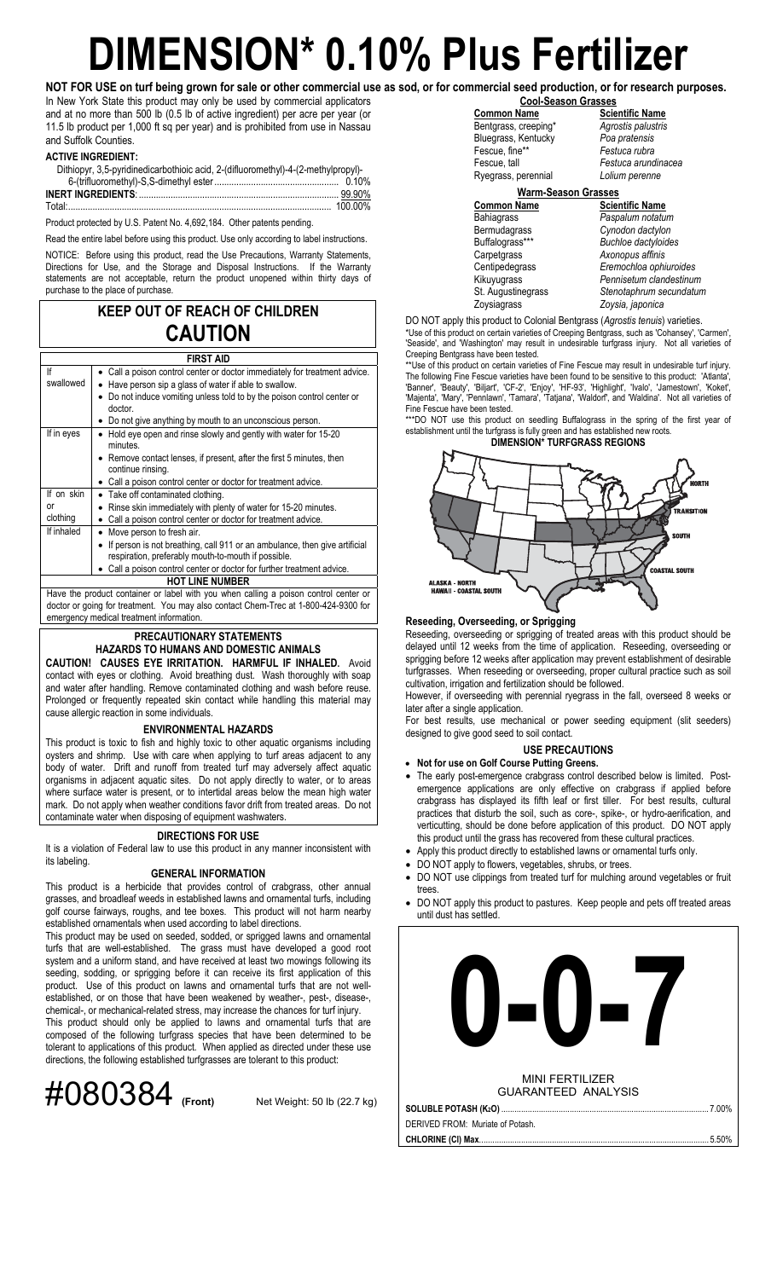## **DIMENSION\* 0.10% Plus Fertilizer**

In New York State this product may only be used by commercial applicators and at no more than 500 lb (0.5 lb of active ingredient) per acre per year (or 11.5 lb product per 1,000 ft sq per year) and is prohibited from use in Nassau and Suffolk Counties.

### **ACTIVE INGREDIENT:**

| Dithiopyr, 3.5-pyridinedicarbothioic acid, 2-(difluoromethyl)-4-(2-methylpropyl)- |  |
|-----------------------------------------------------------------------------------|--|
|                                                                                   |  |
|                                                                                   |  |
|                                                                                   |  |

Product protected by U.S. Patent No. 4,692,184. Other patents pending.

Read the entire label before using this product. Use only according to label instructions.

NOTICE: Before using this product, read the Use Precautions, Warranty Statements, Directions for Use, and the Storage and Disposal Instructions. If the Warranty statements are not acceptable, return the product unopened within thirty days of purchase to the place of purchase.

### **KEEP OUT OF REACH OF CHILDREN CAUTION**

| <b>FIRST AID</b>                                                                          |                                                                                                                                   |  |  |  |  |
|-------------------------------------------------------------------------------------------|-----------------------------------------------------------------------------------------------------------------------------------|--|--|--|--|
| lf                                                                                        | • Call a poison control center or doctor immediately for treatment advice.                                                        |  |  |  |  |
| swallowed                                                                                 | Have person sip a glass of water if able to swallow.                                                                              |  |  |  |  |
| Do not induce vomiting unless told to by the poison control center or<br>doctor.          |                                                                                                                                   |  |  |  |  |
|                                                                                           | • Do not give anything by mouth to an unconscious person.                                                                         |  |  |  |  |
| If in eyes<br>Hold eye open and rinse slowly and gently with water for 15-20<br>minutes.  |                                                                                                                                   |  |  |  |  |
| • Remove contact lenses, if present, after the first 5 minutes, then<br>continue rinsing. |                                                                                                                                   |  |  |  |  |
|                                                                                           | • Call a poison control center or doctor for treatment advice.                                                                    |  |  |  |  |
| If on skin                                                                                | • Take off contaminated clothing.                                                                                                 |  |  |  |  |
| or                                                                                        | Rinse skin immediately with plenty of water for 15-20 minutes.                                                                    |  |  |  |  |
| clothing<br>Call a poison control center or doctor for treatment advice.                  |                                                                                                                                   |  |  |  |  |
| If inhaled                                                                                | Move person to fresh air.                                                                                                         |  |  |  |  |
|                                                                                           | If person is not breathing, call 911 or an ambulance, then give artificial<br>respiration, preferably mouth-to-mouth if possible. |  |  |  |  |
|                                                                                           | Call a poison control center or doctor for further treatment advice.                                                              |  |  |  |  |
|                                                                                           | <b>HOT LINE NUMBER</b>                                                                                                            |  |  |  |  |
|                                                                                           | Have the product container or label with you when calling a poison control center or                                              |  |  |  |  |
|                                                                                           | doctor or going for treatment. You may also contact Chem-Trec at 1-800-424-9300 for                                               |  |  |  |  |
| emergency medical treatment information.                                                  |                                                                                                                                   |  |  |  |  |

### **PRECAUTIONARY STATEMENTS**

### **HAZARDS TO HUMANS AND DOMESTIC ANIMALS**

**CAUTION! CAUSES EYE IRRITATION. HARMFUL IF INHALED.** Avoid contact with eyes or clothing. Avoid breathing dust. Wash thoroughly with soap and water after handling. Remove contaminated clothing and wash before reuse. Prolonged or frequently repeated skin contact while handling this material may cause allergic reaction in some individuals.

### **ENVIRONMENTAL HAZARDS**

This product is toxic to fish and highly toxic to other aquatic organisms including oysters and shrimp. Use with care when applying to turf areas adjacent to any body of water. Drift and runoff from treated turf may adversely affect aquatic organisms in adjacent aquatic sites. Do not apply directly to water, or to areas where surface water is present, or to intertidal areas below the mean high water mark. Do not apply when weather conditions favor drift from treated areas. Do not contaminate water when disposing of equipment washwaters.

### **DIRECTIONS FOR USE**

It is a violation of Federal law to use this product in any manner inconsistent with its labeling.

### **GENERAL INFORMATION**

This product is a herbicide that provides control of crabgrass, other annual grasses, and broadleaf weeds in established lawns and ornamental turfs, including golf course fairways, roughs, and tee boxes. This product will not harm nearby established ornamentals when used according to label directions.

This product may be used on seeded, sodded, or sprigged lawns and ornamental turfs that are well-established. The grass must have developed a good root system and a uniform stand, and have received at least two mowings following its seeding, sodding, or sprigging before it can receive its first application of this product. Use of this product on lawns and ornamental turfs that are not wellestablished, or on those that have been weakened by weather-, pest-, disease-, chemical-, or mechanical-related stress, may increase the chances for turf injury.

This product should only be applied to lawns and ornamental turfs that are composed of the following turfgrass species that have been determined to be tolerant to applications of this product. When applied as directed under these use directions, the following established turfgrasses are tolerant to this product:



**NOT FOR USE on turf being grown for sale or other commercial use as sod, or for commercial seed production, or for research purposes. Cool-Season Grasses Common Name Scientific Name** 

 Bentgrass, creeping\* *Agrostis palustris* Bluegrass, Kentucky *Poa pratensis* Fescue, fine\*<sup>\*</sup><br>Fescue, tall Ryegrass, perennial *Lolium perenne* 

Festuca arundinacea<br>Lolium perenne

### **Warm-Season Grasses**

**Common Name**<br>
Bahiagrass **Common Passalum**<br>
Paspalum notatul Bermudagrass *Cynodon dactylon* Buffalograss\*\*\* *Buchloe dactyloides* Zoysiagrass *Zoysia, japonica* 

**Paspalum notatum** Axonopus affinis Centipedegrass *Eremochloa ophiuroides* Kikuyugrass *Pennisetum clandestinum* St. Augustinegrass *Stenotaphrum secundatum*

DO NOT apply this product to Colonial Bentgrass (*Agrostis tenuis*) varieties. \*Use of this product on certain varieties of Creeping Bentgrass, such as 'Cohansey', 'Carmen', 'Seaside', and 'Washington' may result in undesirable turfgrass injury. Not all varieties of Creeping Bentgrass have been tested.

\*\*Use of this product on certain varieties of Fine Fescue may result in undesirable turf injury. The following Fine Fescue varieties have been found to be sensitive to this product: 'Atlanta', 'Banner', 'Beauty', 'Biljart', 'CF-2', 'Enjoy', 'HF-93', 'Highlight', 'Ivalo', 'Jamestown', 'Koket', 'Majenta', 'Mary', 'Pennlawn', 'Tamara', 'Tatjana', 'Waldorf', and 'Waldina'. Not all varieties of Fine Fescue have been tested.

\*\*\*DO NOT use this product on seedling Buffalograss in the spring of the first year of establishment until the turfgrass is fully green and has established new roots. **DIMENSION\* TURFGRASS REGIONS** 

# ALASKA − NORTH<br>HAWAII − COASTAL SOUTH

### **Reseeding, Overseeding, or Sprigging**

Reseeding, overseeding or sprigging of treated areas with this product should be delayed until 12 weeks from the time of application. Reseeding, overseeding or sprigging before 12 weeks after application may prevent establishment of desirable turfgrasses. When reseeding or overseeding, proper cultural practice such as soil cultivation, irrigation and fertilization should be followed.

However, if overseeding with perennial ryegrass in the fall, overseed 8 weeks or later after a single application.

For best results, use mechanical or power seeding equipment (slit seeders) designed to give good seed to soil contact.

### **USE PRECAUTIONS**

- **Not for use on Golf Course Putting Greens.** • The early post-emergence crabgrass control described below is limited. Postemergence applications are only effective on crabgrass if applied before crabgrass has displayed its fifth leaf or first tiller. For best results, cultural practices that disturb the soil, such as core-, spike-, or hydro-aerification, and verticutting, should be done before application of this product. DO NOT apply this product until the grass has recovered from these cultural practices.
- Apply this product directly to established lawns or ornamental turfs only.
- DO NOT apply to flowers, vegetables, shrubs, or trees.
- 
- DO NOT use clippings from treated turf for mulching around vegetables or fruit trees
- DO NOT apply this product to pastures. Keep people and pets off treated areas until dust has settled.